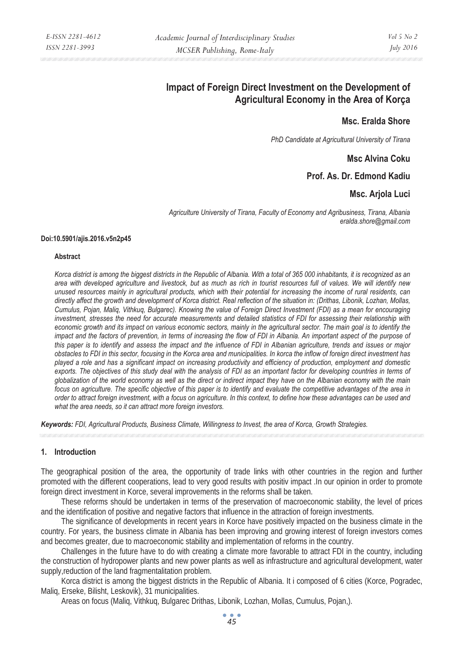# **Impact of Foreign Direct Investment on the Development of Agricultural Economy in the Area of Korça**

# **Msc. Eralda Shore**

*PhD Candidate at Agricultural University of Tirana* 

# **Msc Alvina Coku**

# **Prof. As. Dr. Edmond Kadiu**

### **Msc. Arjola Luci**

*Agriculture University of Tirana, Faculty of Economy and Agribusiness, Tirana, Albania eralda.shore@gmail.com* 

#### **Doi:10.5901/ajis.2016.v5n2p45**

#### **Abstract**

*Korca district is among the biggest districts in the Republic of Albania. With a total of 365 000 inhabitants, it is recognized as an area with developed agriculture and livestock, but as much as rich in tourist resources full of values. We will identify new unused resources mainly in agricultural products, which with their potential for increasing the income of rural residents, can directly affect the growth and development of Korca district. Real reflection of the situation in: (Drithas, Libonik, Lozhan, Mollas, Cumulus, Pojan, Maliq, Vithkuq, Bulgarec). Knowing the value of Foreign Direct Investment (FDI) as a mean for encouraging investment, stresses the need for accurate measurements and detailed statistics of FDI for assessing their relationship with economic growth and its impact on various economic sectors, mainly in the agricultural sector. The main goal is to identify the impact and the factors of prevention, in terms of increasing the flow of FDI in Albania. An important aspect of the purpose of this paper is to identify and assess the impact and the influence of FDI in Albanian agriculture, trends and issues or major obstacles to FDI in this sector, focusing in the Korca area and municipalities. In korca the inflow of foreign direct investment has played a role and has a significant impact on increasing productivity and efficiency of production, employment and domestic exports. The objectives of this study deal with the analysis of FDI as an important factor for developing countries in terms of globalization of the world economy as well as the direct or indirect impact they have on the Albanian economy with the main focus on agriculture. The specific objective of this paper is to identify and evaluate the competitive advantages of the area in order to attract foreign investment, with a focus on agriculture. In this context, to define how these advantages can be used and what the area needs, so it can attract more foreign investors.* 

*Keywords: FDI, Agricultural Products, Business Climate, Willingness to Invest, the area of Korca, Growth Strategies.*

#### **1. Introduction**

The geographical position of the area, the opportunity of trade links with other countries in the region and further promoted with the different cooperations, lead to very good results with positiv impact .In our opinion in order to promote foreign direct investment in Korce, several improvements in the reforms shall be taken.

These reforms should be undertaken in terms of the preservation of macroeconomic stability, the level of prices and the identification of positive and negative factors that influence in the attraction of foreign investments.

The significance of developments in recent years in Korce have positively impacted on the business climate in the country. For years, the business climate in Albania has been improving and growing interest of foreign investors comes and becomes greater, due to macroeconomic stability and implementation of reforms in the country.

Challenges in the future have to do with creating a climate more favorable to attract FDI in the country, including the construction of hydropower plants and new power plants as well as infrastructure and agricultural development, water supply, reduction of the land fragmentalitation problem.

Korca district is among the biggest districts in the Republic of Albania. It i composed of 6 cities (Korce, Pogradec, Maliq, Erseke, Bilisht, Leskovik), 31 municipalities.

Areas on focus (Maliq, Vithkuq, Bulgarec Drithas, Libonik, Lozhan, Mollas, Cumulus, Pojan,).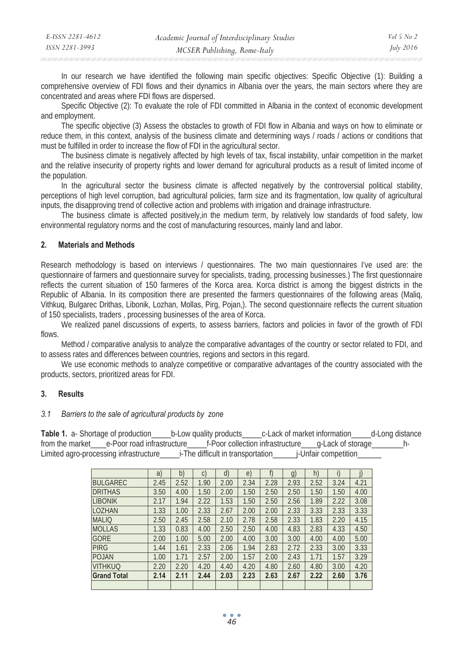In our research we have identified the following main specific objectives: Specific Objective (1): Building a comprehensive overview of FDI flows and their dynamics in Albania over the years, the main sectors where they are concentrated and areas where FDI flows are dispersed.

Specific Objective (2): To evaluate the role of FDI committed in Albania in the context of economic development and employment.

The specific objective (3) Assess the obstacles to growth of FDI flow in Albania and ways on how to eliminate or reduce them, in this context, analysis of the business climate and determining ways / roads / actions or conditions that must be fulfilled in order to increase the flow of FDI in the agricultural sector.

The business climate is negatively affected by high levels of tax, fiscal instability, unfair competition in the market and the relative insecurity of property rights and lower demand for agricultural products as a result of limited income of the population.

In the agricultural sector the business climate is affected negatively by the controversial political stability, perceptions of high level corruption, bad agricultural policies, farm size and its fragmentation, low quality of agricultural inputs, the disapproving trend of collective action and problems with irrigation and drainage infrastructure.

The business climate is affected positively,in the medium term, by relatively low standards of food safety, low environmental regulatory norms and the cost of manufacturing resources, mainly land and labor.

### **2. Materials and Methods**

Research methodology is based on interviews / questionnaires. The two main questionnaires I've used are: the questionnaire of farmers and questionnaire survey for specialists, trading, processing businesses.) The first questionnaire reflects the current situation of 150 farmeres of the Korca area. Korca district is among the biggest districts in the Republic of Albania. In its composition there are presented the farmers questionnaires of the following areas (Maliq, Vithkuq, Bulgarec Drithas, Libonik, Lozhan, Mollas, Pirg, Pojan,). The second questionnaire reflects the current situation of 150 specialists, traders , processing businesses of the area of Korca.

We realized panel discussions of experts, to assess barriers, factors and policies in favor of the growth of FDI flows.

Method / comparative analysis to analyze the comparative advantages of the country or sector related to FDI, and to assess rates and differences between countries, regions and sectors in this regard.

We use economic methods to analyze competitive or comparative advantages of the country associated with the products, sectors, prioritized areas for FDI.

### **3. Results**

#### *3.1 Barriers to the sale of agricultural products by zone*

**Table 1.** a- Shortage of production b-Low quality products c-Lack of market information d-Long distance from the market e-Poor road infrastructure f-Poor collection infrastructure q-Lack of storage h-Limited agro-processing infrastructure i-The difficult in transportation i-Unfair competition

|                    | a)   | $\mathbf{b}$ | $\mathsf{C}$ | $\mathsf{d}$ | $\epsilon$ |      | $g_{\prime}$ | h)   |      |      |
|--------------------|------|--------------|--------------|--------------|------------|------|--------------|------|------|------|
| <b>BULGAREC</b>    | 2.45 | 2.52         | 1.90         | 2.00         | 2.34       | 2.28 | 2.93         | 2.52 | 3.24 | 4.21 |
| <b>DRITHAS</b>     | 3.50 | 4.00         | 1.50         | 2.00         | 1.50       | 2.50 | 2.50         | 1.50 | 1.50 | 4.00 |
| <b>LIBONIK</b>     | 2.17 | 1.94         | 2.22         | .53          | 1.50       | 2.50 | 2.56         | 1.89 | 2.22 | 3.08 |
| <b>LOZHAN</b>      | 1.33 | 1.00         | 2.33         | 2.67         | 2.00       | 2.00 | 2.33         | 3.33 | 2.33 | 3.33 |
| <b>MALIQ</b>       | 2.50 | 2.45         | 2.58         | 2.10         | 2.78       | 2.58 | 2.33         | 1.83 | 2.20 | 4.15 |
| <b>MOLLAS</b>      | 1.33 | 0.83         | 4.00         | 2.50         | 2.50       | 4.00 | 4.83         | 2.83 | 4.33 | 4.50 |
| <b>GORE</b>        | 2.00 | 1.00         | 5.00         | 2.00         | 4.00       | 3.00 | 3.00         | 4.00 | 4.00 | 5.00 |
| <b>PIRG</b>        | 1.44 | 1.61         | 2.33         | 2.06         | 1.94       | 2.83 | 2.72         | 2.33 | 3.00 | 3.33 |
| <b>POJAN</b>       | 1.00 | 1.71         | 2.57         | 2.00         | 1.57       | 2.00 | 2.43         | 1.71 | 1.57 | 3.29 |
| <b>VITHKUQ</b>     | 2.20 | 2.20         | 4.20         | 4.40         | 4.20       | 4.80 | 2.60         | 4.80 | 3.00 | 4.20 |
| <b>Grand Total</b> | 2.14 | 2.11         | 2.44         | 2.03         | 2.23       | 2.63 | 2.67         | 2.22 | 2.60 | 3.76 |
|                    |      |              |              |              |            |      |              |      |      |      |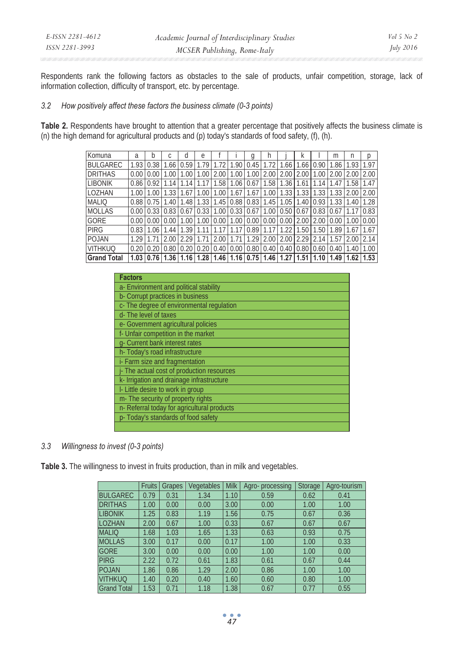Respondents rank the following factors as obstacles to the sale of products, unfair competition, storage, lack of information collection, difficulty of transport, etc. by percentage.

### *3.2 How positively affect these factors the business climate (0-3 points)*

**Table 2.** Respondents have brought to attention that a greater percentage that positively affects the business climate is (n) the high demand for agricultural products and (p) today's standards of food safety, (f), (h).

| Komuna             | a    | b    |      | d    | e    |      |      | a                                 |             |             | N    |       | m             | n    | D    |
|--------------------|------|------|------|------|------|------|------|-----------------------------------|-------------|-------------|------|-------|---------------|------|------|
| <b>BULGAREC</b>    | 1.93 | 0.38 | 1.66 | 0.59 |      |      | .90  | 0.45                              |             | .66         | 1.66 | 10.90 | 1.86          | 1.93 | 1.97 |
| <b>DRITHAS</b>     | 0.00 |      | OΟ   |      | .00  | 2.00 | 1.00 | 1.00                              | 2.00        | 2.00        | 2.00 | .00   | 2.00          | 2.00 | 2.00 |
| <b>LIBONIK</b>     | 0.86 | 0.92 |      |      |      | .58  | 1.06 | 0.67                              | 1.58        | 1.36        | 1.61 |       | .47           | 1.58 | 1.47 |
| LOZHAN             | 1.00 |      |      | .67  | .00  | 1.00 | 1.67 | 1.67                              | 1.00        | 1.33        |      | 1.33  | .33           | 2.00 | 2.00 |
| <b>MALIQ</b>       | 0.88 | 0.75 | 1.40 | 1.48 | 1.33 | 1.45 |      | $0.88$   $0.83$   $1.45$   $1.05$ |             |             | 1.40 | 0.93  | 1.33          | 1.40 | 1.28 |
| <b>MOLLAS</b>      | 0.00 | 0.33 | 0.83 | 0.67 | 0.33 | 1.00 | 0.33 | 0.67                              | 1.00        | $\mid$ 0.50 | 0.67 | 0.83  | 0.67          |      | 0.83 |
| GORE               | 0.00 |      | 0.00 | 1.00 | 1.00 | 0.00 | 1.00 | 0.00                              | $0.00$ 0.00 |             | 2.00 | 2.00  | 0.00          | 1.00 | 0.00 |
| <b>PIRG</b>        | 0.83 | 1.06 | 1.44 | 1.39 |      |      |      | 0.89                              |             |             | 1.50 | 1.50  | 1.89          | 1.67 | 1.67 |
| POJAN              | 1.29 |      | 2.00 | 2.29 |      | 2.00 |      | 1.29                              | 2.00        | 2.00        | 2.29 | 2.14  | $1.5^{\circ}$ | 2.00 | 2.14 |
| <b>VITHKUQ</b>     | 0.20 |      | 0.80 |      |      | 0.40 | 0.00 | 0.80                              | 0.40        | 0.40        | 0.80 | 0.60  | 0.40          | 1.40 | 1.00 |
| <b>Grand Total</b> | 1.03 | 0.76 | 1.36 | 1.16 | 1.28 | 1.46 |      | $1.16$   0.75   1.46   1.27       |             |             | 1.51 | 1.101 | 1.49          | 1.62 | 1.53 |

| <b>Factors</b>                              |
|---------------------------------------------|
| a- Environment and political stability      |
| b- Corrupt practices in business            |
| c- The degree of environmental regulation   |
| d-The level of taxes                        |
| e- Government agricultural policies         |
| f- Unfair competition in the market         |
| g- Current bank interest rates              |
| h- Today's road infrastructure              |
| i- Farm size and fragmentation              |
| - The actual cost of production resources   |
| k- Irrigation and drainage infrastructure   |
| I- Little desire to work in group           |
| m- The security of property rights          |
| n- Referral today for agricultural products |
| p-Today's standards of food safety          |
|                                             |

# *3.3 Willingness to invest (0-3 points)*

Table 3. The willingness to invest in fruits production, than in milk and vegetables.

|                    | <b>Fruits</b> | Grapes | Vegetables | Milk | Agro-processing | Storage | Agro-tourism |
|--------------------|---------------|--------|------------|------|-----------------|---------|--------------|
| <b>BULGAREC</b>    | 0.79          | 0.31   | 1.34       | 1.10 | 0.59            | 0.62    | 0.41         |
| <b>DRITHAS</b>     | 1.00          | 0.00   | 0.00       | 3.00 | 0.00            | 1.00    | 1.00         |
| <b>LIBONIK</b>     | 1.25          | 0.83   | 1.19       | 1.56 | 0.75            | 0.67    | 0.36         |
| <b>LOZHAN</b>      | 2.00          | 0.67   | 1.00       | 0.33 | 0.67            | 0.67    | 0.67         |
| <b>MALIO</b>       | 1.68          | 1.03   | 1.65       | 1.33 | 0.63            | 0.93    | 0.75         |
| <b>MOLLAS</b>      | 3.00          | 0.17   | 0.00       | 0.17 | 1.00            | 1.00    | 0.33         |
| <b>GORE</b>        | 3.00          | 0.00   | 0.00       | 0.00 | 1.00            | 1.00    | 0.00         |
| <b>PIRG</b>        | 2.22          | 0.72   | 0.61       | 1.83 | 0.61            | 0.67    | 0.44         |
| POJAN              | 1.86          | 0.86   | 1.29       | 2.00 | 0.86            | 1.00    | 1.00         |
| <b>VITHKUQ</b>     | 1.40          | 0.20   | 0.40       | 1.60 | 0.60            | 0.80    | 1.00         |
| <b>Grand Total</b> | 1.53          | 0.71   | 1.18       | .38  | 0.67            | 0.77    | 0.55         |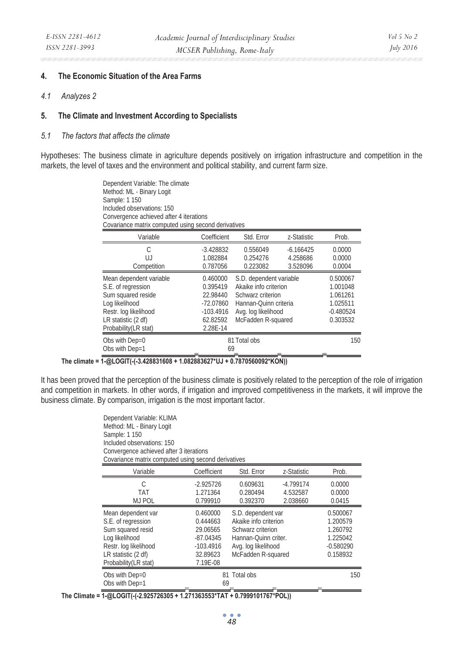#### **4. The Economic Situation of the Area Farms**

*4.1 Analyzes 2* 

#### **5. The Climate and Investment According to Specialists**

#### *5.1 The factors that affects the climate*

Hypotheses: The business climate in agriculture depends positively on irrigation infrastructure and competition in the markets, the level of taxes and the environment and political stability, and current farm size.

> Dependent Variable: The climate Method: ML - Binary Logit Sample: 1 150 Included observations: 150 Convergence achieved after 4 iterations Covariance matrix computed using second derivatives

| Variable                                                                                                                                                       | Coefficient                                                                            | Std. Frror                                                                                                                                  | z-Statistic                         | Prob.                                                                   |
|----------------------------------------------------------------------------------------------------------------------------------------------------------------|----------------------------------------------------------------------------------------|---------------------------------------------------------------------------------------------------------------------------------------------|-------------------------------------|-------------------------------------------------------------------------|
| C<br>UJ<br>Competition                                                                                                                                         | $-3.428832$<br>1.082884<br>0.787056                                                    | 0.556049<br>0.254276<br>0.223082                                                                                                            | $-6.166425$<br>4.258686<br>3.528096 | 0.0000<br>0.0000<br>0.0004                                              |
| Mean dependent variable<br>S.E. of regression<br>Sum squared reside<br>Log likelihood<br>Restr. log likelihood<br>LR statistic (2 df)<br>Probability (LR stat) | 0.460000<br>0.395419<br>22.98440<br>$-72.07860$<br>$-103.4916$<br>62.82592<br>2.28E-14 | S.D. dependent variable<br>Akaike info criterion<br>Schwarz criterion<br>Hannan-Ouinn criteria<br>Avg. log likelihood<br>McFadden R-squared |                                     | 0.500067<br>1.001048<br>1.061261<br>1.025511<br>$-0.480524$<br>0.303532 |
| Obs with Dep=0<br>Obs with Dep=1                                                                                                                               | 69                                                                                     | 81 Total obs                                                                                                                                |                                     | 150                                                                     |

### **The climate = 1-@LOGIT(-(-3.428831608 + 1.082883627\*UJ + 0.7870560092\*KON))**

It has been proved that the perception of the business climate is positively related to the perception of the role of irrigation and competition in markets. In other words, if irrigation and improved competitiveness in the markets, it will improve the business climate. By comparison, irrigation is the most important factor.

| Dependent Variable: KLIMA<br>Method: ML - Binary Logit<br>Sample: 1 150<br>Included observations: 150<br>Convergence achieved after 3 iterations<br>Covariance matrix computed using second derivatives |                                                                                        |                                                                                                                                       |                                     |                                                                         |
|---------------------------------------------------------------------------------------------------------------------------------------------------------------------------------------------------------|----------------------------------------------------------------------------------------|---------------------------------------------------------------------------------------------------------------------------------------|-------------------------------------|-------------------------------------------------------------------------|
| Variable                                                                                                                                                                                                | Coefficient                                                                            | Std. Error                                                                                                                            | z-Statistic                         | Prob.                                                                   |
| C<br><b>TAT</b><br><b>MJ POL</b>                                                                                                                                                                        | $-2.925726$<br>1.271364<br>0.799910                                                    | 0.609631<br>0.280494<br>0.392370                                                                                                      | $-4.799174$<br>4.532587<br>2.038660 | 0.0000<br>0.0000<br>0.0415                                              |
| Mean dependent var<br>S.E. of regression<br>Sum squared resid<br>Log likelihood<br>Restr. log likelihood<br>LR statistic (2 df)<br>Probability (LR stat)                                                | 0.460000<br>0.444663<br>29.06565<br>$-87.04345$<br>$-103.4916$<br>32.89623<br>7.19E-08 | S.D. dependent var<br>Akaike info criterion<br>Schwarz criterion<br>Hannan-Quinn criter.<br>Avg. log likelihood<br>McFadden R-squared |                                     | 0.500067<br>1.200579<br>1.260792<br>1.225042<br>$-0.580290$<br>0.158932 |
| Obs with Dep=0<br>Obs with Dep=1                                                                                                                                                                        | 81 Total obs<br>69                                                                     | 150                                                                                                                                   |                                     |                                                                         |

**The Climate = 1-@LOGIT(-(-2.925726305 + 1.271363553\*TAT + 0.7999101767\*POL))**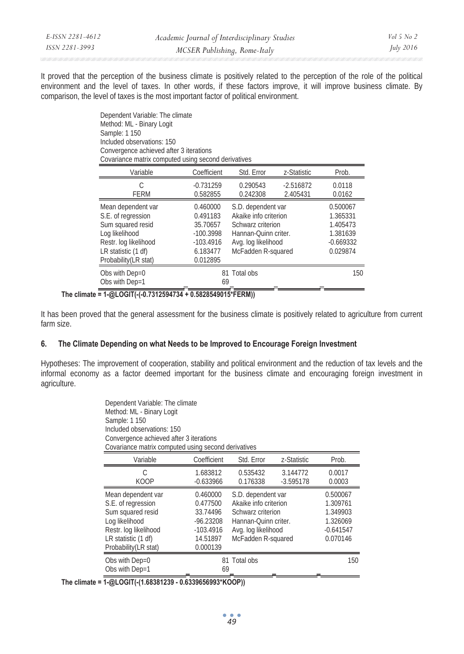| E-ISSN 2281-4612 | Academic Journal of Interdisciplinary Studies | Vol 5 $No$ 2     |
|------------------|-----------------------------------------------|------------------|
| ISSN 2281-3993   | MCSER Publishing, Rome-Italy                  | <i>July 2016</i> |

It proved that the perception of the business climate is positively related to the perception of the role of the political environment and the level of taxes. In other words, if these factors improve, it will improve business climate. By comparison, the level of taxes is the most important factor of political environment.

> Dependent Variable: The climate Method: ML - Binary Logit Sample: 1 150 Included observations: 150 Convergence achieved after 3 iterations Covariance matrix computed using second derivatives

| Variable              | Coefficient  | Std. Error            | z-Statistic | Prob.       |
|-----------------------|--------------|-----------------------|-------------|-------------|
| C                     | $-0.731259$  | 0.290543              | $-2.516872$ | 0.0118      |
| <b>FERM</b>           | 0.582855     | 0.242308              | 2.405431    | 0.0162      |
| Mean dependent var    | 0.460000     | S.D. dependent var    |             | 0.500067    |
| S.E. of regression    | 0.491183     | Akaike info criterion |             | 1.365331    |
| Sum squared resid     | 35.70657     | Schwarz criterion     |             | 1.405473    |
| Log likelihood        | $-100.3998$  | Hannan-Ouinn criter.  |             | 1.381639    |
| Restr. log likelihood | $-103.4916$  | Avg. log likelihood   |             | $-0.669332$ |
| LR statistic (1 df)   | 6.183477     | McFadden R-squared    |             | 0.029874    |
| Probability (LR stat) | 0.012895     |                       |             |             |
| Obs with Dep=0        |              | 81 Total obs          |             | 150         |
| Obs with Dep=1        | 69           |                       |             |             |
| 1.010017110721000171  | $PAAA = IAA$ | --------              |             |             |

**The climate = 1-@LOGIT(-(-0.7312594734 + 0.5828549015\*FERM))** 

It has been proved that the general assessment for the business climate is positively related to agriculture from current farm size.

### **6. The Climate Depending on what Needs to be Improved to Encourage Foreign Investment**

Hypotheses: The improvement of cooperation, stability and political environment and the reduction of tax levels and the informal economy as a factor deemed important for the business climate and encouraging foreign investment in agriculture.

| Dependent Variable: The climate<br>Method: ML - Binary Logit<br>Sample: 1 150<br>Included observations: 150<br>Convergence achieved after 3 iterations<br>Covariance matrix computed using second derivatives |                                                                                        |                                                                                                                                       |                         |                                                                         |  |  |  |
|---------------------------------------------------------------------------------------------------------------------------------------------------------------------------------------------------------------|----------------------------------------------------------------------------------------|---------------------------------------------------------------------------------------------------------------------------------------|-------------------------|-------------------------------------------------------------------------|--|--|--|
| Variable                                                                                                                                                                                                      | Coefficient                                                                            | Std. Error                                                                                                                            | z-Statistic             | Prob.                                                                   |  |  |  |
| C<br><b>KOOP</b>                                                                                                                                                                                              | 1.683812<br>$-0.633966$                                                                | 0.535432<br>0.176338                                                                                                                  | 3.144772<br>$-3.595178$ | 0.0017<br>0.0003                                                        |  |  |  |
| Mean dependent var<br>S.E. of regression<br>Sum squared resid<br>Log likelihood<br>Restr. log likelihood<br>LR statistic (1 df)<br>Probability (LR stat)                                                      | 0.460000<br>0.477500<br>33.74496<br>$-96.23208$<br>$-103.4916$<br>14.51897<br>0.000139 | S.D. dependent var<br>Akaike info criterion<br>Schwarz criterion<br>Hannan-Ouinn criter.<br>Avg. log likelihood<br>McFadden R-squared |                         | 0.500067<br>1.309761<br>1.349903<br>1.326069<br>$-0.641547$<br>0.070146 |  |  |  |
| Obs with Dep=0<br>Obs with Dep=1                                                                                                                                                                              | 69                                                                                     | 81 Total obs                                                                                                                          |                         | 150                                                                     |  |  |  |

**The climate = 1-@LOGIT(-(1.68381239 - 0.6339656993\*KOOP))**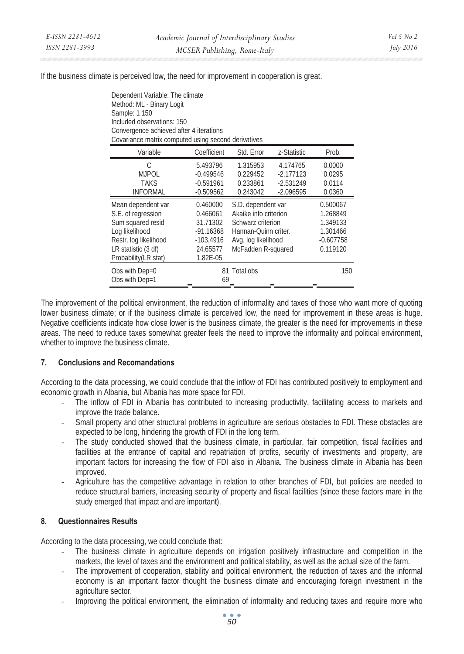If the business climate is perceived low, the need for improvement in cooperation is great.

| Dependent Variable: The climate<br>Method: ML - Binary Logit<br>Sample: 1 150<br>Included observations: 150<br>Convergence achieved after 4 iterations<br>Covariance matrix computed using second derivatives |                                                                                        |                                                                                                                                       |                                                       |                                                                         |  |  |  |  |
|---------------------------------------------------------------------------------------------------------------------------------------------------------------------------------------------------------------|----------------------------------------------------------------------------------------|---------------------------------------------------------------------------------------------------------------------------------------|-------------------------------------------------------|-------------------------------------------------------------------------|--|--|--|--|
| Variable                                                                                                                                                                                                      | Coefficient                                                                            | Std. Error                                                                                                                            | z-Statistic                                           | Prob.                                                                   |  |  |  |  |
| C<br><b>MJPOL</b><br><b>TAKS</b><br><b>INFORMAL</b>                                                                                                                                                           | 5.493796<br>$-0.499546$<br>$-0.591961$<br>$-0.509562$                                  | 1.315953<br>0.229452<br>0.233861<br>0.243042                                                                                          | 4.174765<br>$-2.177123$<br>$-2.531249$<br>$-2.096595$ | 0.0000<br>0.0295<br>0.0114<br>0.0360                                    |  |  |  |  |
| Mean dependent var<br>S.E. of regression<br>Sum squared resid<br>Log likelihood<br>Restr. log likelihood<br>LR statistic (3 df)<br>Probability (LR stat)                                                      | 0.460000<br>0.466061<br>31.71302<br>$-91.16368$<br>$-103.4916$<br>24.65577<br>1.82E-05 | S.D. dependent var<br>Akaike info criterion<br>Schwarz criterion<br>Hannan-Ouinn criter.<br>Avg. log likelihood<br>McFadden R-squared |                                                       | 0.500067<br>1.268849<br>1.349133<br>1.301466<br>$-0.607758$<br>0.119120 |  |  |  |  |
| Obs with Dep=0<br>Obs with Dep=1                                                                                                                                                                              | 69                                                                                     | 81 Total obs                                                                                                                          |                                                       | 150                                                                     |  |  |  |  |

The improvement of the political environment, the reduction of informality and taxes of those who want more of quoting lower business climate; or if the business climate is perceived low, the need for improvement in these areas is huge. Negative coefficients indicate how close lower is the business climate, the greater is the need for improvements in these areas. The need to reduce taxes somewhat greater feels the need to improve the informality and political environment, whether to improve the business climate.

# **7. Conclusions and Recomandations**

According to the data processing, we could conclude that the inflow of FDI has contributed positively to employment and economic growth in Albania, but Albania has more space for FDI.

- *-* The inflow of FDI in Albania has contributed to increasing productivity, facilitating access to markets and improve the trade balance.
- *-* Small property and other structural problems in agriculture are serious obstacles to FDI. These obstacles are expected to be long, hindering the growth of FDI in the long term.
- *-* The study conducted showed that the business climate, in particular, fair competition, fiscal facilities and facilities at the entrance of capital and repatriation of profits, security of investments and property, are important factors for increasing the flow of FDI also in Albania. The business climate in Albania has been improved.
- *-* Agriculture has the competitive advantage in relation to other branches of FDI, but policies are needed to reduce structural barriers, increasing security of property and fiscal facilities (since these factors mare in the study emerged that impact and are important).

# **8. Questionnaires Results**

According to the data processing, we could conclude that:

- *-* The business climate in agriculture depends on irrigation positively infrastructure and competition in the markets, the level of taxes and the environment and political stability, as well as the actual size of the farm.
- *-* The improvement of cooperation, stability and political environment, the reduction of taxes and the informal economy is an important factor thought the business climate and encouraging foreign investment in the agriculture sector.
- *-* Improving the political environment, the elimination of informality and reducing taxes and require more who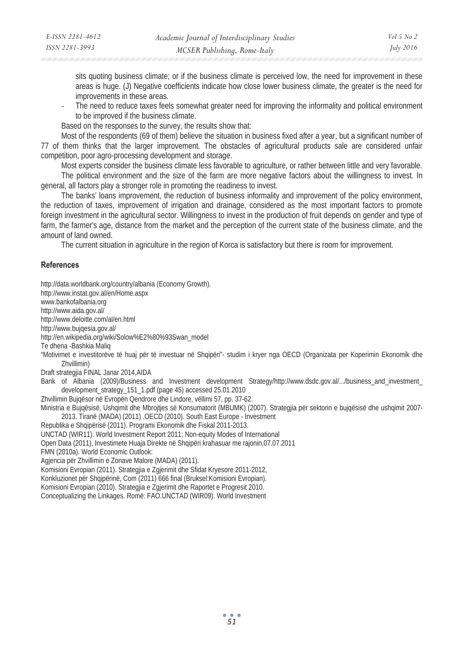sits quoting business climate; or if the business climate is perceived low, the need for improvement in these areas is huge. (J) Negative coefficients indicate how close lower business climate, the greater is the need for improvements in these areas.

*-* The need to reduce taxes feels somewhat greater need for improving the informality and political environment to be improved if the business climate.

Based on the responses to the survey, the results show that:

Most of the respondents (69 of them) believe the situation in business fixed after a year, but a significant number of 77 of them thinks that the larger improvement. The obstacles of agricultural products sale are considered unfair competition, poor agro-processing development and storage.

Most experts consider the business climate less favorable to agriculture, or rather between little and very favorable. The political environment and the size of the farm are more negative factors about the willingness to invest. In general, all factors play a stronger role in promoting the readiness to invest.

The banks' loans improvement, the reduction of business informality and improvement of the policy environment, the reduction of taxes, improvement of irrigation and drainage, considered as the most important factors to promote foreign investment in the agricultural sector. Willingness to invest in the production of fruit depends on gender and type of farm, the farmer's age, distance from the market and the perception of the current state of the business climate, and the amount of land owned.

The current situation in agriculture in the region of Korca is satisfactory but there is room for improvement.

#### **References**

http://data.worldbank.org/country/albania (Economy Growth). http://www.instat.gov.al/en/Home.aspx www.bankofalbania.org http://www.aida.gov.al/ http://www.deloitte.com/al/en.html http://www.bujqesia.gov.al/ http://en.wikipedia.org/wiki/Solow%E2%80%93Swan\_model Te dhena -Bashkia Maliq "Motivimet e investitorëve të huaj për të investuar në Shqipëri"- studim i kryer nga OECD (Organizata per Koperimin Ekonomik dhe Zhvillimin) Draft strategjia FINAL Janar 2014,AIDA Bank of Albania (2009)/Business and Investment development Strategy/http://www.dsdc.gov.al/.../business\_and\_investment\_ development\_strategy\_151\_1.pdf (page 45) accessed 25.01.2010 Zhvillimin Bujqësor në Evropën Qendrore dhe Lindore, vëllimi 57, pp. 37-62. Ministria e Bujqësisë, Ushqimit dhe Mbroities së Konsumatorit (MBUMK) (2007). Strategjia për sektorin e bujqësisë dhe ushqimit 2007-2013. Tiranë (MADA) (2011) .OECD (2010). South East Europe - Investment Republika e Shqipërisë (2011). Programi Ekonomik dhe Fiskal 2011-2013. UNCTAD (WIR11). World Investment Report 2011: Non-equity Modes of International Open Data (2011), Investimete Huaja Direkte në Shqipëri krahasuar me rajonin,07.07.2011 FMN (2010a). World Economic Outlook: Agjencia për Zhvillimin e Zonave Malore (MADA) (2011). Komisioni Evropian (2011). Strategjia e Zgjerimit dhe Sfidat Kryesore 2011-2012, Konkluzionet për Shqipërinë, Com (2011) 666 final (Bruksel:Komisioni Evropian). Komisioni Evropian (2010). Strategjia e Zgjerimit dhe Raportet e Progresit 2010. Conceptualizing the Linkages. Romë: FAO.UNCTAD (WIR09). World Investment